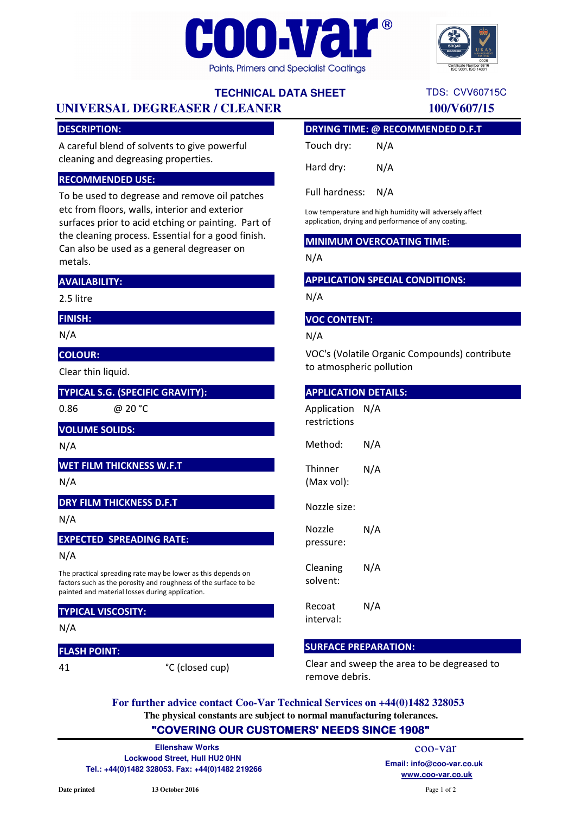



TDS: CVV60715C

# **TECHNICAL DATA SHEET**

# **UNIVERSAL DEGREASER / CLEANER 100/V607/15**

## DESCRIPTION:

A careful blend of solvents to give powerful cleaning and degreasing properties.

#### RECOMMENDED USE:

To be used to degrease and remove oil patches etc from floors, walls, interior and exterior surfaces prior to acid etching or painting. Part of the cleaning process. Essential for a good finish. Can also be used as a general degreaser on metals.

#### AVAILABILITY:

2.5 litre

# FINISH:

N/A

## COLOUR:

Clear thin liquid.

## TYPICAL S.G. (SPECIFIC GRAVITY):

0.86 @ 20 °C

#### VOLUME SOLIDS:

N/A

## WET FILM THICKNESS W.F.T

N/A

#### DRY FILM THICKNESS D.F.T

N/A

#### EXPECTED SPREADING RATE:

N/A

The practical spreading rate may be lower as this depends on factors such as the porosity and roughness of the surface to be painted and material losses during application.

#### TYPICAL VISCOSITY:

N/A

#### FLASH POINT:

41

°C (closed cup)

## DRYING TIME: @ RECOMMENDED D.F.T

| Touch dry: | N/A |
|------------|-----|
| Hard dry:  | N/A |

Full hardness: N/A

Low temperature and high humidity will adversely affect application, drying and performance of any coating.

#### MINIMUM OVERCOATING TIME:

N/A

### APPLICATION SPECIAL CONDITIONS:

N/A

#### VOC CONTENT:

N/A

VOC's (Volatile Organic Compounds) contribute to atmospheric pollution

#### APPLICATION DETAILS:

| Application<br>restrictions | N/A |
|-----------------------------|-----|
| Method:                     | N/A |
| Thinner<br>(Max vol):       | N/A |
| Nozzle size:                |     |
| Nozzle<br>pressure:         | N/A |
| Cleaning<br>solvent:        | N/A |
| Recoat<br>interval:         | N/A |

#### SURFACE PREPARATION:

Clear and sweep the area to be degreased to remove debris.

**The physical constants are subject to normal manufacturing tolerances. For further advice contact Coo-Var Technical Services on +44(0)1482 328053**

# "COVERING OUR CUSTOMERS' NEEDS SINCE 1908"

**Lockwood Street, Hull HU2 0HN Tel.: +44(0)1482 328053. Fax: +44(0)1482 219266 www.coo-var.co.uk Ellenshaw Works**

coo-var **Email: info@coo-var.co.uk**

Page 1 of 2